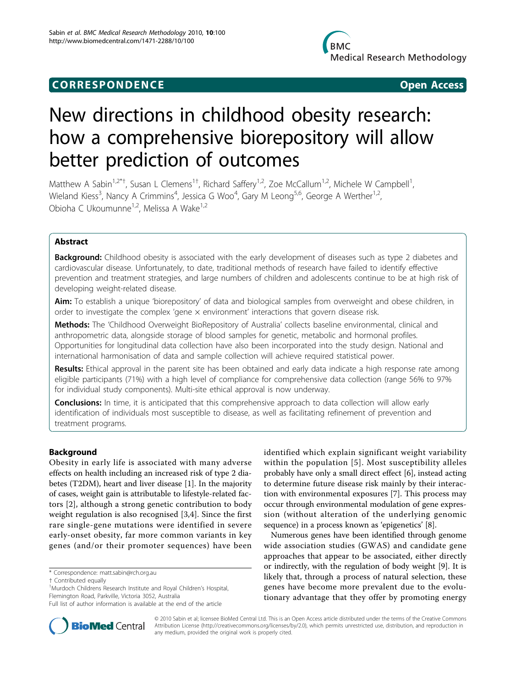# **CORRESPONDENCE CORRESPONDENCE CORRESPONDENCE**

# New directions in childhood obesity research: how a comprehensive biorepository will allow better prediction of outcomes

Matthew A Sabin<sup>1,2\*†</sup>, Susan L Clemens<sup>1†</sup>, Richard Saffery<sup>1,2</sup>, Zoe McCallum<sup>1,2</sup>, Michele W Campbell<sup>1</sup> , Wieland Kiess<sup>3</sup>, Nancy A Crimmins<sup>4</sup>, Jessica G Woo<sup>4</sup>, Gary M Leong<sup>5,6</sup>, George A Werther<sup>1,2</sup>, Obioha C Ukoumunne<sup>1,2</sup>, Melissa A Wake<sup>1,2</sup>

# Abstract

Background: Childhood obesity is associated with the early development of diseases such as type 2 diabetes and cardiovascular disease. Unfortunately, to date, traditional methods of research have failed to identify effective prevention and treatment strategies, and large numbers of children and adolescents continue to be at high risk of developing weight-related disease.

Aim: To establish a unique 'biorepository' of data and biological samples from overweight and obese children, in order to investigate the complex 'gene × environment' interactions that govern disease risk.

Methods: The 'Childhood Overweight BioRepository of Australia' collects baseline environmental, clinical and anthropometric data, alongside storage of blood samples for genetic, metabolic and hormonal profiles. Opportunities for longitudinal data collection have also been incorporated into the study design. National and international harmonisation of data and sample collection will achieve required statistical power.

Results: Ethical approval in the parent site has been obtained and early data indicate a high response rate among eligible participants (71%) with a high level of compliance for comprehensive data collection (range 56% to 97% for individual study components). Multi-site ethical approval is now underway.

**Conclusions:** In time, it is anticipated that this comprehensive approach to data collection will allow early identification of individuals most susceptible to disease, as well as facilitating refinement of prevention and treatment programs.

# Background

Obesity in early life is associated with many adverse effects on health including an increased risk of type 2 diabetes (T2DM), heart and liver disease [\[1](#page-10-0)]. In the majority of cases, weight gain is attributable to lifestyle-related factors [\[2](#page-10-0)], although a strong genetic contribution to body weight regulation is also recognised [[3,4](#page-10-0)]. Since the first rare single-gene mutations were identified in severe early-onset obesity, far more common variants in key genes (and/or their promoter sequences) have been

\* Correspondence: [matt.sabin@rch.org.au](mailto:matt.sabin@rch.org.au)

† Contributed equally <sup>1</sup>

<sup>1</sup>Murdoch Childrens Research Institute and Royal Children's Hospital, Flemington Road, Parkville, Victoria 3052, Australia

identified which explain significant weight variability within the population [[5](#page-10-0)]. Most susceptibility alleles probably have only a small direct effect [[6](#page-10-0)], instead acting to determine future disease risk mainly by their interaction with environmental exposures [[7\]](#page-10-0). This process may occur through environmental modulation of gene expression (without alteration of the underlying genomic sequence) in a process known as 'epigenetics' [\[8\]](#page-10-0).

Numerous genes have been identified through genome wide association studies (GWAS) and candidate gene approaches that appear to be associated, either directly or indirectly, with the regulation of body weight [\[9](#page-10-0)]. It is likely that, through a process of natural selection, these genes have become more prevalent due to the evolutionary advantage that they offer by promoting energy



© 2010 Sabin et al; licensee BioMed Central Ltd. This is an Open Access article distributed under the terms of the Creative Commons Attribution License [\(http://creativecommons.org/licenses/by/2.0](http://creativecommons.org/licenses/by/2.0)), which permits unrestricted use, distribution, and reproduction in any medium, provided the original work is properly cited.

Full list of author information is available at the end of the article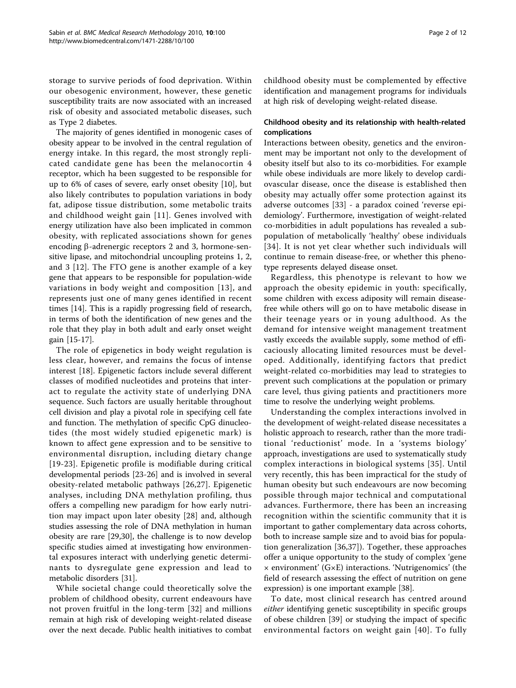storage to survive periods of food deprivation. Within our obesogenic environment, however, these genetic susceptibility traits are now associated with an increased risk of obesity and associated metabolic diseases, such as Type 2 diabetes.

The majority of genes identified in monogenic cases of obesity appear to be involved in the central regulation of energy intake. In this regard, the most strongly replicated candidate gene has been the melanocortin 4 receptor, which ha been suggested to be responsible for up to 6% of cases of severe, early onset obesity [\[10](#page-10-0)], but also likely contributes to population variations in body fat, adipose tissue distribution, some metabolic traits and childhood weight gain [[11\]](#page-10-0). Genes involved with energy utilization have also been implicated in common obesity, with replicated associations shown for genes encoding  $\beta$ -adrenergic receptors 2 and 3, hormone-sensitive lipase, and mitochondrial uncoupling proteins 1, 2, and 3 [\[12](#page-10-0)]. The FTO gene is another example of a key gene that appears to be responsible for population-wide variations in body weight and composition [[13](#page-10-0)], and represents just one of many genes identified in recent times [\[14\]](#page-10-0). This is a rapidly progressing field of research, in terms of both the identification of new genes and the role that they play in both adult and early onset weight gain [\[15-17](#page-10-0)].

The role of epigenetics in body weight regulation is less clear, however, and remains the focus of intense interest [\[18](#page-10-0)]. Epigenetic factors include several different classes of modified nucleotides and proteins that interact to regulate the activity state of underlying DNA sequence. Such factors are usually heritable throughout cell division and play a pivotal role in specifying cell fate and function. The methylation of specific CpG dinucleotides (the most widely studied epigenetic mark) is known to affect gene expression and to be sensitive to environmental disruption, including dietary change [[19](#page-10-0)-[23](#page-10-0)]. Epigenetic profile is modifiable during critical developmental periods [\[23-26](#page-10-0)] and is involved in several obesity-related metabolic pathways [\[26,27](#page-10-0)]. Epigenetic analyses, including DNA methylation profiling, thus offers a compelling new paradigm for how early nutrition may impact upon later obesity [[28](#page-10-0)] and, although studies assessing the role of DNA methylation in human obesity are rare [[29,30\]](#page-10-0), the challenge is to now develop specific studies aimed at investigating how environmental exposures interact with underlying genetic determinants to dysregulate gene expression and lead to metabolic disorders [\[31\]](#page-10-0).

While societal change could theoretically solve the problem of childhood obesity, current endeavours have not proven fruitful in the long-term [[32](#page-10-0)] and millions remain at high risk of developing weight-related disease over the next decade. Public health initiatives to combat

childhood obesity must be complemented by effective identification and management programs for individuals at high risk of developing weight-related disease.

# Childhood obesity and its relationship with health-related complications

Interactions between obesity, genetics and the environment may be important not only to the development of obesity itself but also to its co-morbidities. For example while obese individuals are more likely to develop cardiovascular disease, once the disease is established then obesity may actually offer some protection against its adverse outcomes [[33\]](#page-10-0) - a paradox coined 'reverse epidemiology'. Furthermore, investigation of weight-related co-morbidities in adult populations has revealed a subpopulation of metabolically 'healthy' obese individuals [[34\]](#page-10-0). It is not yet clear whether such individuals will continue to remain disease-free, or whether this phenotype represents delayed disease onset.

Regardless, this phenotype is relevant to how we approach the obesity epidemic in youth: specifically, some children with excess adiposity will remain diseasefree while others will go on to have metabolic disease in their teenage years or in young adulthood. As the demand for intensive weight management treatment vastly exceeds the available supply, some method of efficaciously allocating limited resources must be developed. Additionally, identifying factors that predict weight-related co-morbidities may lead to strategies to prevent such complications at the population or primary care level, thus giving patients and practitioners more time to resolve the underlying weight problems.

Understanding the complex interactions involved in the development of weight-related disease necessitates a holistic approach to research, rather than the more traditional 'reductionist' mode. In a 'systems biology' approach, investigations are used to systematically study complex interactions in biological systems [[35](#page-10-0)]. Until very recently, this has been impractical for the study of human obesity but such endeavours are now becoming possible through major technical and computational advances. Furthermore, there has been an increasing recognition within the scientific community that it is important to gather complementary data across cohorts, both to increase sample size and to avoid bias for population generalization [\[36](#page-10-0),[37\]](#page-10-0)). Together, these approaches offer a unique opportunity to the study of complex 'gene × environment' (G×E) interactions. 'Nutrigenomics' (the field of research assessing the effect of nutrition on gene expression) is one important example [\[38\]](#page-10-0).

To date, most clinical research has centred around either identifying genetic susceptibility in specific groups of obese children [[39](#page-11-0)] or studying the impact of specific environmental factors on weight gain [[40](#page-11-0)]. To fully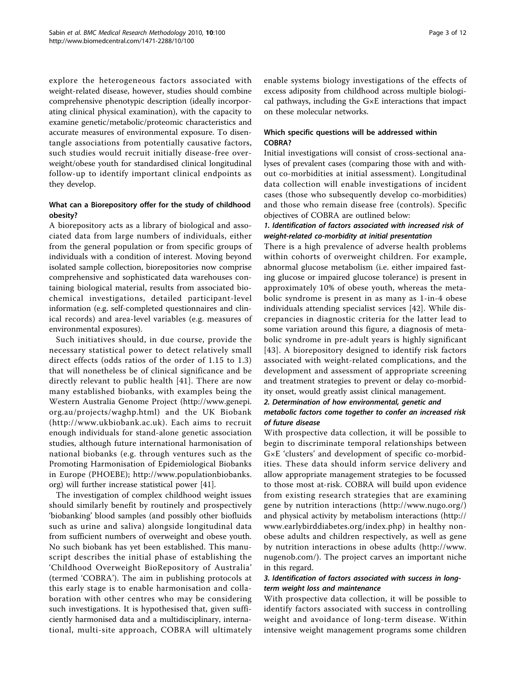explore the heterogeneous factors associated with weight-related disease, however, studies should combine comprehensive phenotypic description (ideally incorporating clinical physical examination), with the capacity to examine genetic/metabolic/proteomic characteristics and accurate measures of environmental exposure. To disentangle associations from potentially causative factors, such studies would recruit initially disease-free overweight/obese youth for standardised clinical longitudinal follow-up to identify important clinical endpoints as they develop.

# What can a Biorepository offer for the study of childhood obesity?

A biorepository acts as a library of biological and associated data from large numbers of individuals, either from the general population or from specific groups of individuals with a condition of interest. Moving beyond isolated sample collection, biorepositories now comprise comprehensive and sophisticated data warehouses containing biological material, results from associated biochemical investigations, detailed participant-level information (e.g. self-completed questionnaires and clinical records) and area-level variables (e.g. measures of environmental exposures).

Such initiatives should, in due course, provide the necessary statistical power to detect relatively small direct effects (odds ratios of the order of 1.15 to 1.3) that will nonetheless be of clinical significance and be directly relevant to public health [[41](#page-11-0)]. There are now many established biobanks, with examples being the Western Australia Genome Project [\(http://www.genepi.](http://www.aifs.gov.au/growingup/) [org.au/projects/waghp.html](http://www.aifs.gov.au/growingup/)) and the UK Biobank ([http://www.ukbiobank.ac.uk](http://www.abs.gov.au/)). Each aims to recruit enough individuals for stand-alone genetic association studies, although future international harmonisation of national biobanks (e.g. through ventures such as the Promoting Harmonisation of Epidemiological Biobanks in Europe (PHOEBE); [http://www.populationbiobanks.](http://www.sdqinfo.com/) [org](http://www.sdqinfo.com/)) will further increase statistical power [\[41](#page-11-0)].

The investigation of complex childhood weight issues should similarly benefit by routinely and prospectively 'biobanking' blood samples (and possibly other biofluids such as urine and saliva) alongside longitudinal data from sufficient numbers of overweight and obese youth. No such biobank has yet been established. This manuscript describes the initial phase of establishing the 'Childhood Overweight BioRepository of Australia' (termed 'COBRA'). The aim in publishing protocols at this early stage is to enable harmonisation and collaboration with other centres who may be considering such investigations. It is hypothesised that, given sufficiently harmonised data and a multidisciplinary, international, multi-site approach, COBRA will ultimately enable systems biology investigations of the effects of excess adiposity from childhood across multiple biological pathways, including the G×E interactions that impact on these molecular networks.

# Which specific questions will be addressed within COBRA?

Initial investigations will consist of cross-sectional analyses of prevalent cases (comparing those with and without co-morbidities at initial assessment). Longitudinal data collection will enable investigations of incident cases (those who subsequently develop co-morbidities) and those who remain disease free (controls). Specific objectives of COBRA are outlined below:

# 1. Identification of factors associated with increased risk of weight-related co-morbidity at initial presentation

There is a high prevalence of adverse health problems within cohorts of overweight children. For example, abnormal glucose metabolism (i.e. either impaired fasting glucose or impaired glucose tolerance) is present in approximately 10% of obese youth, whereas the metabolic syndrome is present in as many as 1-in-4 obese individuals attending specialist services [[42\]](#page-11-0). While discrepancies in diagnostic criteria for the latter lead to some variation around this figure, a diagnosis of metabolic syndrome in pre-adult years is highly significant [[43\]](#page-11-0). A biorepository designed to identify risk factors associated with weight-related complications, and the development and assessment of appropriate screening and treatment strategies to prevent or delay co-morbidity onset, would greatly assist clinical management.

2. Determination of how environmental, genetic and

# metabolic factors come together to confer an increased risk of future disease

With prospective data collection, it will be possible to begin to discriminate temporal relationships between G×E 'clusters' and development of specific co-morbidities. These data should inform service delivery and allow appropriate management strategies to be focussed to those most at-risk. COBRA will build upon evidence from existing research strategies that are examining gene by nutrition interactions ([http://www.nugo.org/](http://www.ipaq.ki.se/ipaq.htm)) and physical activity by metabolism interactions [\(http://](http://www.bristol.ac.uk/alspac/) [www.earlybirddiabetes.org/index.php\)](http://www.bristol.ac.uk/alspac/) in healthy nonobese adults and children respectively, as well as gene by nutrition interactions in obese adults [\(http://www.](http://www.activelivingresearch.org/node/10649) [nugenob.com/](http://www.activelivingresearch.org/node/10649)). The project carves an important niche in this regard.

# 3. Identification of factors associated with success in longterm weight loss and maintenance

With prospective data collection, it will be possible to identify factors associated with success in controlling weight and avoidance of long-term disease. Within intensive weight management programs some children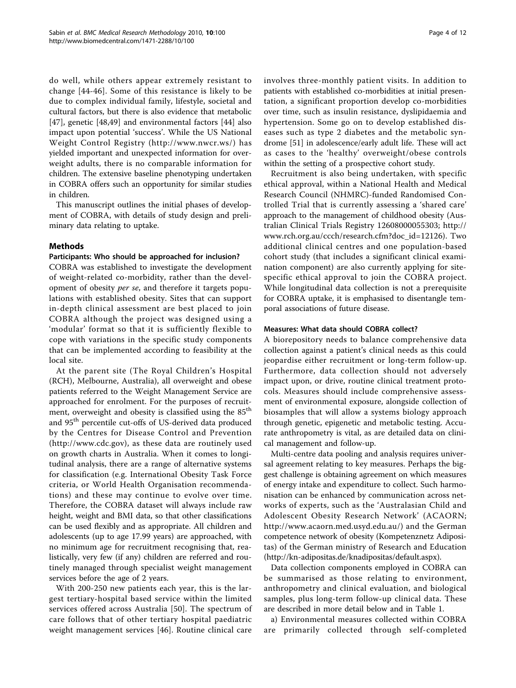do well, while others appear extremely resistant to change [[44-46](#page-11-0)]. Some of this resistance is likely to be due to complex individual family, lifestyle, societal and cultural factors, but there is also evidence that metabolic [[47\]](#page-11-0), genetic [\[48,49](#page-11-0)] and environmental factors [\[44](#page-11-0)] also impact upon potential 'success'. While the US National Weight Control Registry ([http://www.nwcr.ws/\)](http://www.pedsql.org/) has yielded important and unexpected information for overweight adults, there is no comparable information for children. The extensive baseline phenotyping undertaken in COBRA offers such an opportunity for similar studies in children.

This manuscript outlines the initial phases of development of COBRA, with details of study design and preliminary data relating to uptake.

# Methods

#### Participants: Who should be approached for inclusion?

COBRA was established to investigate the development of weight-related co-morbidity, rather than the development of obesity *per se*, and therefore it targets populations with established obesity. Sites that can support in-depth clinical assessment are best placed to join COBRA although the project was designed using a 'modular' format so that it is sufficiently flexible to cope with variations in the specific study components that can be implemented according to feasibility at the local site.

At the parent site (The Royal Children's Hospital (RCH), Melbourne, Australia), all overweight and obese patients referred to the Weight Management Service are approached for enrolment. For the purposes of recruitment, overweight and obesity is classified using the 85<sup>th</sup> and 95<sup>th</sup> percentile cut-offs of US-derived data produced by the Centres for Disease Control and Prevention (<http://www.cdc.gov>), as these data are routinely used on growth charts in Australia. When it comes to longitudinal analysis, there are a range of alternative systems for classification (e.g. International Obesity Task Force criteria, or World Health Organisation recommendations) and these may continue to evolve over time. Therefore, the COBRA dataset will always include raw height, weight and BMI data, so that other classifications can be used flexibly and as appropriate. All children and adolescents (up to age 17.99 years) are approached, with no minimum age for recruitment recognising that, realistically, very few (if any) children are referred and routinely managed through specialist weight management services before the age of 2 years.

With 200-250 new patients each year, this is the largest tertiary-hospital based service within the limited services offered across Australia [\[50](#page-11-0)]. The spectrum of care follows that of other tertiary hospital paediatric weight management services [[46\]](#page-11-0). Routine clinical care involves three-monthly patient visits. In addition to patients with established co-morbidities at initial presentation, a significant proportion develop co-morbidities over time, such as insulin resistance, dyslipidaemia and hypertension. Some go on to develop established diseases such as type 2 diabetes and the metabolic syndrome [[51](#page-11-0)] in adolescence/early adult life. These will act as cases to the 'healthy' overweight/obese controls within the setting of a prospective cohort study.

Recruitment is also being undertaken, with specific ethical approval, within a National Health and Medical Research Council (NHMRC)-funded Randomised Controlled Trial that is currently assessing a 'shared care' approach to the management of childhood obesity (Australian Clinical Trials Registry 12608000055303; [http://](http://www.rch.org.au/ccch/research.cfm?doc_id=12126) [www.rch.org.au/ccch/research.cfm?doc\\_id=12126\)](http://www.rch.org.au/ccch/research.cfm?doc_id=12126). Two additional clinical centres and one population-based cohort study (that includes a significant clinical examination component) are also currently applying for sitespecific ethical approval to join the COBRA project. While longitudinal data collection is not a prerequisite for COBRA uptake, it is emphasised to disentangle temporal associations of future disease.

#### Measures: What data should COBRA collect?

A biorepository needs to balance comprehensive data collection against a patient's clinical needs as this could jeopardise either recruitment or long-term follow-up. Furthermore, data collection should not adversely impact upon, or drive, routine clinical treatment protocols. Measures should include comprehensive assessment of environmental exposure, alongside collection of biosamples that will allow a systems biology approach through genetic, epigenetic and metabolic testing. Accurate anthropometry is vital, as are detailed data on clinical management and follow-up.

Multi-centre data pooling and analysis requires universal agreement relating to key measures. Perhaps the biggest challenge is obtaining agreement on which measures of energy intake and expenditure to collect. Such harmonisation can be enhanced by communication across networks of experts, such as the 'Australasian Child and Adolescent Obesity Research Network' (ACAORN; <http://www.acaorn.med.usyd.edu.au/>) and the German competence network of obesity (Kompetenznetz Adipositas) of the German ministry of Research and Education ([http://kn-adipositas.de/knadipositas/default.aspx\)](http://kn-adipositas.de/knadipositas/default.aspx).

Data collection components employed in COBRA can be summarised as those relating to environment, anthropometry and clinical evaluation, and biological samples, plus long-term follow-up clinical data. These are described in more detail below and in Table [1.](#page-4-0)

a) Environmental measures collected within COBRA are primarily collected through self-completed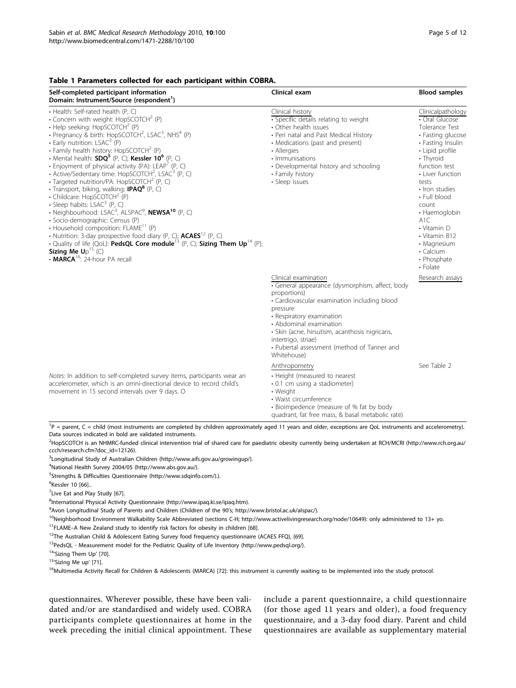#### <span id="page-4-0"></span>Table 1 Parameters collected for each participant within COBRA.

| Self-completed participant information<br>Domain: Instrument/Source (respondent <sup>1</sup> )                                                                                                                                                                                                                                                                                                                                                                                                                                                                                                                                                                                                                                                                                                                                                                                                                                                                                                                                                                                                                                                                                                                    | Clinical exam                                                                                                                                                                                                                                                                                                                                      | <b>Blood samples</b>                                                                                                                                                                                                                                                                                                                                                        |
|-------------------------------------------------------------------------------------------------------------------------------------------------------------------------------------------------------------------------------------------------------------------------------------------------------------------------------------------------------------------------------------------------------------------------------------------------------------------------------------------------------------------------------------------------------------------------------------------------------------------------------------------------------------------------------------------------------------------------------------------------------------------------------------------------------------------------------------------------------------------------------------------------------------------------------------------------------------------------------------------------------------------------------------------------------------------------------------------------------------------------------------------------------------------------------------------------------------------|----------------------------------------------------------------------------------------------------------------------------------------------------------------------------------------------------------------------------------------------------------------------------------------------------------------------------------------------------|-----------------------------------------------------------------------------------------------------------------------------------------------------------------------------------------------------------------------------------------------------------------------------------------------------------------------------------------------------------------------------|
| • Health: Self-rated health (P, C)<br>• Concern with weight: $HopSCOTCH2$ (P)<br>• Help seeking: HopSCOTCH <sup>2</sup> (P)<br>• Pregnancy & birth: HopSCOTCH <sup>2</sup> , LSAC <sup>3</sup> , NHS <sup>4</sup> (P)<br>• Early nutrition: LSAC <sup>3</sup> (P)<br>• Family health history: HopSCOTCH <sup>2</sup> (P)<br>• Mental health: $SDQ^5$ (P, C); Kessler 10 <sup>6</sup> (P, C)<br>• Enjoyment of physical activity (PA): LEAP <sup>7</sup> (P, C)<br>• Active/Sedentary time: HopSCOTCH <sup>2</sup> , LSAC <sup>3</sup> (P, C)<br>• Targeted nutrition/PA: HopSCOTCH <sup>2</sup> (P, C)<br>• Transport, biking, walking: <b>IPAQ<sup>8</sup></b> (P, C)<br>• Childcare: HopSCOTCH <sup>2</sup> (P)<br>· Sleep habits: LSAC <sup>3</sup> (P, C)<br>• Neighbourhood: LSAC <sup>3</sup> , ALSPAC <sup>9</sup> , <b>NEWSA<sup>10</sup></b> (P, C)<br>· Socio-demographic: Census (P)<br>• Household composition: FLAME <sup>11</sup> (P)<br>• Nutrition: 3-day prospective food diary (P, C); $ACAES^{12}$ (P, C)<br>• Quality of life (QoL): PedsQL Core module <sup>13</sup> (P, C); Sizing Them Up <sup>14</sup> (P);<br>Sizing Me $Up^{15}$ (C)<br>$\cdot$ MARCA <sup>16</sup> : 24-hour PA recall | Clinical history<br>· Specific details relating to weight<br>• Other health issues<br>• Peri natal and Past Medical History<br>• Medications (past and present)<br>• Allergies<br>· Immunisations<br>• Developmental history and schooling<br>• Family history<br>· Sleep issues                                                                   | Clinicalpathology<br>$\overline{\cdot}$ Oral Glucose<br>Tolerance Test<br>• Fasting glucose<br>• Fasting Insulin<br>· Lipid profile<br>• Thyroid<br>function test<br>• Liver function<br>tests<br>· Iron studies<br>· Full blood<br>count<br>• Haemoglobin<br>A <sub>1</sub> C<br>$\cdot$ Vitamin D<br>• Vitamin B12<br>• Magnesium<br>· Calcium<br>• Phosphate<br>• Folate |
|                                                                                                                                                                                                                                                                                                                                                                                                                                                                                                                                                                                                                                                                                                                                                                                                                                                                                                                                                                                                                                                                                                                                                                                                                   | Clinical examination<br>· General appearance (dysmorphism, affect, body<br>proportions)<br>· Cardiovascular examination including blood<br>pressure<br>• Respiratory examination<br>• Abdominal examination<br>· Skin (acne, hirsutism, acanthosis nigricans,<br>intertrigo, striae)<br>• Pubertal assessment (method of Tanner and<br>Whitehouse) | Research assays                                                                                                                                                                                                                                                                                                                                                             |
| Notes: In addition to self-completed survey items, participants wear an<br>accelerometer, which is an omni-directional device to record child's<br>movement in 15 second intervals over 9 days. O                                                                                                                                                                                                                                                                                                                                                                                                                                                                                                                                                                                                                                                                                                                                                                                                                                                                                                                                                                                                                 | Anthropometry<br>• Height (measured to nearest<br>• 0.1 cm using a stadiometer)<br>• Weight<br>• Waist circumference<br>· Bioimpedence (measure of % fat by body<br>quadrant, fat free mass, & basal metabolic rate)                                                                                                                               | See Table 2                                                                                                                                                                                                                                                                                                                                                                 |

2 HopSCOTCH is an NHMRC-funded clinical intervention trial of shared care for paediatric obesity currently being undertaken at RCH/MCRI [\(http://www.rch.org.au/](http://www.biomedcentral.com/1471-2288/10/100) [ccch/research.cfm?doc\\_id=12126](http://www.biomedcentral.com/1471-2288/10/100)).

<sup>3</sup> Longitudinal Study of Australian Children [\(http://www.aifs.gov.au/growingup/\)](http://www.aifs.gov.au/growingup/).

4 National Health Survey 2004/05 ([http://www.abs.gov.au/\)](http://www.abs.gov.au/).

<sup>5</sup>Strengths & Difficulties Questionnaire ([http://www.sdqinfo.com/\)](http://www.sdqinfo.com/).).

<sup>6</sup>Kessler 10 [\[66](#page-11-0)]..

<sup>7</sup> Live Eat and Play Study [[67\]](#page-11-0).

<sup>8</sup>International Physical Activity Questionnaire (<http://www.ipaq.ki.se/ipaq.htm>).

9 Avon Longitudinal Study of Parents and Children (Children of the 90's;<http://www.bristol.ac.uk/alspac/>).

<sup>10</sup>Neighborhood Environment Walkability Scale Abbreviated (sections C-H; [http://www.activelivingresearch.org/node/10649\)](http://www.activelivingresearch.org/node/10649): only administered to 13+ yo.

11FLAME–A New Zealand study to identify risk factors for obesity in children [\[68\]](#page-11-0).

<sup>12</sup>The Australian Child & Adolescent Eating Survey food frequency questionnaire (ACAES FFQ), [[69\]](#page-11-0).

<sup>13</sup>PedsQL - Measurement model for the Pediatric Quality of Life Inventory [\(http://www.pedsql.org/\)](http://www.pedsql.org/).

14'Sizing Them Up' [\[70](#page-11-0)].

15'Sizing Me up' [[71](#page-11-0)].

<sup>16</sup>Multimedia Activity Recall for Children & Adolescents (MARCA) [\[72\]](#page-11-0): this instrument is currently waiting to be implemented into the study protocol.

questionnaires. Wherever possible, these have been validated and/or are standardised and widely used. COBRA participants complete questionnaires at home in the week preceding the initial clinical appointment. These include a parent questionnaire, a child questionnaire (for those aged 11 years and older), a food frequency questionnaire, and a 3-day food diary. Parent and child questionnaires are available as supplementary material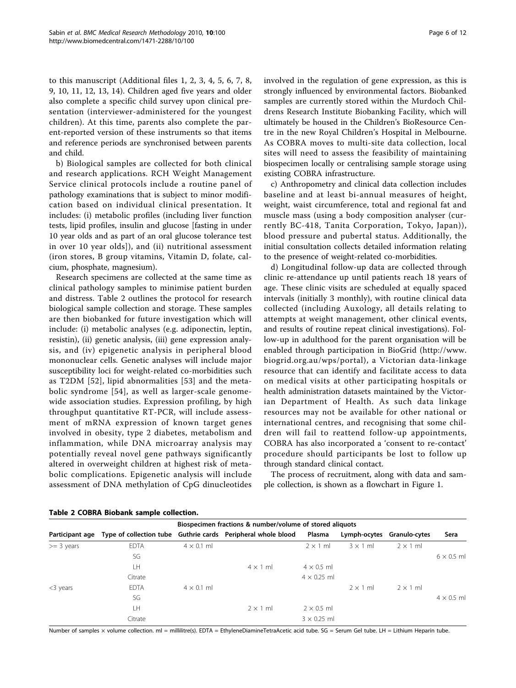to this manuscript (Additional files [1, 2](#page-9-0), [3](#page-9-0), [4, 5](#page-9-0), [6](#page-9-0), [7, 8](#page-9-0), [9, 10](#page-9-0), [11](#page-9-0), [12, 13](#page-9-0), [14\)](#page-9-0). Children aged five years and older also complete a specific child survey upon clinical presentation (interviewer-administered for the youngest children). At this time, parents also complete the parent-reported version of these instruments so that items and reference periods are synchronised between parents and child.

b) Biological samples are collected for both clinical and research applications. RCH Weight Management Service clinical protocols include a routine panel of pathology examinations that is subject to minor modification based on individual clinical presentation. It includes: (i) metabolic profiles (including liver function tests, lipid profiles, insulin and glucose [fasting in under 10 year olds and as part of an oral glucose tolerance test in over 10 year olds]), and (ii) nutritional assessment (iron stores, B group vitamins, Vitamin D, folate, calcium, phosphate, magnesium).

Research specimens are collected at the same time as clinical pathology samples to minimise patient burden and distress. Table 2 outlines the protocol for research biological sample collection and storage. These samples are then biobanked for future investigation which will include: (i) metabolic analyses (e.g. adiponectin, leptin, resistin), (ii) genetic analysis, (iii) gene expression analysis, and (iv) epigenetic analysis in peripheral blood mononuclear cells. Genetic analyses will include major susceptibility loci for weight-related co-morbidities such as T2DM [\[52\]](#page-11-0), lipid abnormalities [\[53\]](#page-11-0) and the metabolic syndrome [[54](#page-11-0)], as well as larger-scale genomewide association studies. Expression profiling, by high throughput quantitative RT-PCR, will include assessment of mRNA expression of known target genes involved in obesity, type 2 diabetes, metabolism and inflammation, while DNA microarray analysis may potentially reveal novel gene pathways significantly altered in overweight children at highest risk of metabolic complications. Epigenetic analysis will include assessment of DNA methylation of CpG dinucleotides involved in the regulation of gene expression, as this is strongly influenced by environmental factors. Biobanked samples are currently stored within the Murdoch Childrens Research Institute Biobanking Facility, which will ultimately be housed in the Children's BioResource Centre in the new Royal Children's Hospital in Melbourne. As COBRA moves to multi-site data collection, local sites will need to assess the feasibility of maintaining biospecimen locally or centralising sample storage using existing COBRA infrastructure.

c) Anthropometry and clinical data collection includes baseline and at least bi-annual measures of height, weight, waist circumference, total and regional fat and muscle mass (using a body composition analyser (currently BC-418, Tanita Corporation, Tokyo, Japan)), blood pressure and pubertal status. Additionally, the initial consultation collects detailed information relating to the presence of weight-related co-morbidities.

d) Longitudinal follow-up data are collected through clinic re-attendance up until patients reach 18 years of age. These clinic visits are scheduled at equally spaced intervals (initially 3 monthly), with routine clinical data collected (including Auxology, all details relating to attempts at weight management, other clinical events, and results of routine repeat clinical investigations). Follow-up in adulthood for the parent organisation will be enabled through participation in BioGrid ([http://www.](http://www.biogrid.org.au/wps/portal) [biogrid.org.au/wps/portal\)](http://www.biogrid.org.au/wps/portal), a Victorian data-linkage resource that can identify and facilitate access to data on medical visits at other participating hospitals or health administration datasets maintained by the Victorian Department of Health. As such data linkage resources may not be available for other national or international centres, and recognising that some children will fail to reattend follow-up appointments, COBRA has also incorporated a 'consent to re-contact' procedure should participants be lost to follow up through standard clinical contact.

The process of recruitment, along with data and sample collection, is shown as a flowchart in Figure [1](#page-6-0).

| Biospecimen fractions & number/volume of stored aliquots |             |                   |                                                                              |                    |                 |                            |                   |  |
|----------------------------------------------------------|-------------|-------------------|------------------------------------------------------------------------------|--------------------|-----------------|----------------------------|-------------------|--|
|                                                          |             |                   | Participant age Type of collection tube Guthrie cards Peripheral whole blood | Plasma             |                 | Lymph-ocytes Granulo-cytes | Sera              |  |
| $>=$ 3 years                                             | <b>EDTA</b> | $4 \times 0.1$ ml |                                                                              | $2 \times 1$ ml    | $3 \times 1$ ml | $2 \times 1$ m             |                   |  |
|                                                          | SG          |                   |                                                                              |                    |                 |                            | $6 \times 0.5$ ml |  |
|                                                          | LH          |                   | $4 \times 1$ m                                                               | $4 \times 0.5$ ml  |                 |                            |                   |  |
|                                                          | Citrate     |                   |                                                                              | $4 \times 0.25$ ml |                 |                            |                   |  |
| <3 years                                                 | <b>EDTA</b> | $4 \times 0.1$ ml |                                                                              |                    | $2 \times 1$ m  | $2 \times 1$ m             |                   |  |
|                                                          | SG          |                   |                                                                              |                    |                 |                            | $4 \times 0.5$ ml |  |
|                                                          | LН          |                   | $2 \times 1$ m                                                               | $2 \times 0.5$ ml  |                 |                            |                   |  |
|                                                          | Citrate     |                   |                                                                              | $3 \times 0.25$ ml |                 |                            |                   |  |

Table 2 COBRA Biobank sample collection.

Number of samples x volume collection. ml = millilitre(s). EDTA = EthyleneDiamineTetraAcetic acid tube. SG = Serum Gel tube. LH = Lithium Heparin tube.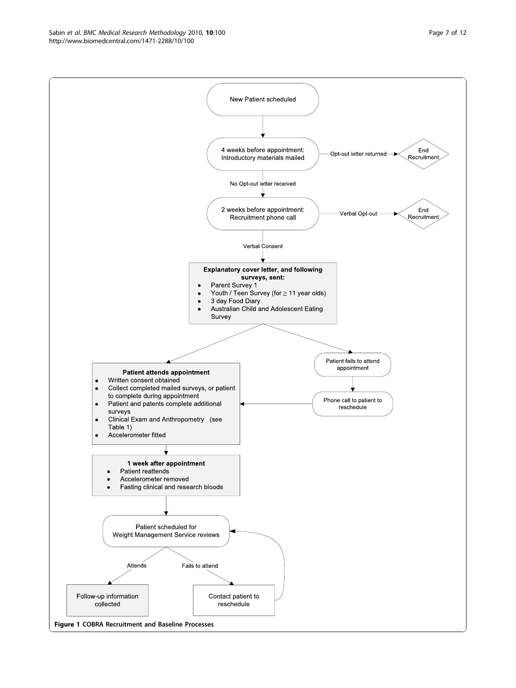<span id="page-6-0"></span>Sabin et al. BMC Medical Research Methodology 2010, 10:100 http://www.biomedcentral.com/1471-2288/10/100

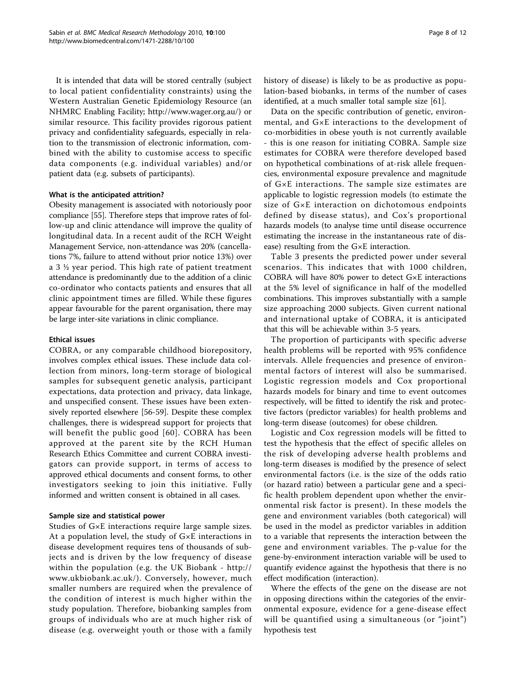It is intended that data will be stored centrally (subject to local patient confidentiality constraints) using the Western Australian Genetic Epidemiology Resource (an NHMRC Enabling Facility;<http://www.wager.org.au/>) or similar resource. This facility provides rigorous patient privacy and confidentiality safeguards, especially in relation to the transmission of electronic information, combined with the ability to customise access to specific data components (e.g. individual variables) and/or patient data (e.g. subsets of participants).

#### What is the anticipated attrition?

Obesity management is associated with notoriously poor compliance [\[55\]](#page-11-0). Therefore steps that improve rates of follow-up and clinic attendance will improve the quality of longitudinal data. In a recent audit of the RCH Weight Management Service, non-attendance was 20% (cancellations 7%, failure to attend without prior notice 13%) over a 3 ½ year period. This high rate of patient treatment attendance is predominantly due to the addition of a clinic co-ordinator who contacts patients and ensures that all clinic appointment times are filled. While these figures appear favourable for the parent organisation, there may be large inter-site variations in clinic compliance.

### Ethical issues

COBRA, or any comparable childhood biorepository, involves complex ethical issues. These include data collection from minors, long-term storage of biological samples for subsequent genetic analysis, participant expectations, data protection and privacy, data linkage, and unspecified consent. These issues have been extensively reported elsewhere [\[56-59](#page-11-0)]. Despite these complex challenges, there is widespread support for projects that will benefit the public good [[60\]](#page-11-0). COBRA has been approved at the parent site by the RCH Human Research Ethics Committee and current COBRA investigators can provide support, in terms of access to approved ethical documents and consent forms, to other investigators seeking to join this initiative. Fully informed and written consent is obtained in all cases.

#### Sample size and statistical power

Studies of G×E interactions require large sample sizes. At a population level, the study of G×E interactions in disease development requires tens of thousands of subjects and is driven by the low frequency of disease within the population (e.g. the UK Biobank - [http://](http://www.ukbiobank.ac.uk/) [www.ukbiobank.ac.uk/](http://www.ukbiobank.ac.uk/)). Conversely, however, much smaller numbers are required when the prevalence of the condition of interest is much higher within the study population. Therefore, biobanking samples from groups of individuals who are at much higher risk of disease (e.g. overweight youth or those with a family

Data on the specific contribution of genetic, environmental, and G×E interactions to the development of co-morbidities in obese youth is not currently available - this is one reason for initiating COBRA. Sample size estimates for COBRA were therefore developed based on hypothetical combinations of at-risk allele frequencies, environmental exposure prevalence and magnitude of G×E interactions. The sample size estimates are applicable to logistic regression models (to estimate the size of G×E interaction on dichotomous endpoints defined by disease status), and Cox's proportional hazards models (to analyse time until disease occurrence estimating the increase in the instantaneous rate of disease) resulting from the G×E interaction.

Table [3](#page-8-0) presents the predicted power under several scenarios. This indicates that with 1000 children, COBRA will have 80% power to detect G×E interactions at the 5% level of significance in half of the modelled combinations. This improves substantially with a sample size approaching 2000 subjects. Given current national and international uptake of COBRA, it is anticipated that this will be achievable within 3-5 years.

The proportion of participants with specific adverse health problems will be reported with 95% confidence intervals. Allele frequencies and presence of environmental factors of interest will also be summarised. Logistic regression models and Cox proportional hazards models for binary and time to event outcomes respectively, will be fitted to identify the risk and protective factors (predictor variables) for health problems and long-term disease (outcomes) for obese children.

Logistic and Cox regression models will be fitted to test the hypothesis that the effect of specific alleles on the risk of developing adverse health problems and long-term diseases is modified by the presence of select environmental factors (i.e. is the size of the odds ratio (or hazard ratio) between a particular gene and a specific health problem dependent upon whether the environmental risk factor is present). In these models the gene and environment variables (both categorical) will be used in the model as predictor variables in addition to a variable that represents the interaction between the gene and environment variables. The p-value for the gene-by-environment interaction variable will be used to quantify evidence against the hypothesis that there is no effect modification (interaction).

Where the effects of the gene on the disease are not in opposing directions within the categories of the environmental exposure, evidence for a gene-disease effect will be quantified using a simultaneous (or "joint") hypothesis test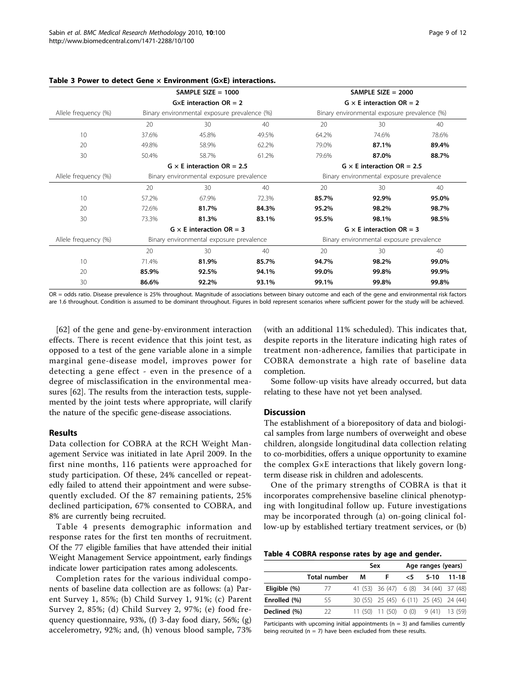| SAMPLE SIZE = $1000$ |                                          |                                              | SAMPLE SIZE = $2000$                     |                                 |                                              |       |  |  |
|----------------------|------------------------------------------|----------------------------------------------|------------------------------------------|---------------------------------|----------------------------------------------|-------|--|--|
|                      | $G \times E$ interaction OR = 2          |                                              |                                          | $G \times E$ interaction OR = 2 |                                              |       |  |  |
| Allele frequency (%) |                                          | Binary environmental exposure prevalence (%) |                                          |                                 | Binary environmental exposure prevalence (%) |       |  |  |
|                      | 20                                       | 30                                           | 40                                       | 20                              | 30                                           | 40    |  |  |
| 10                   | 37.6%                                    | 45.8%                                        | 49.5%                                    | 64.2%                           | 74.6%                                        | 78.6% |  |  |
| 20                   | 49.8%                                    | 58.9%                                        | 62.2%                                    | 79.0%                           | 87.1%                                        | 89.4% |  |  |
| 30                   | 50.4%                                    | 58.7%                                        | 61.2%                                    | 79.6%                           | 87.0%                                        | 88.7% |  |  |
|                      |                                          | $G \times E$ interaction OR = 2.5            |                                          |                                 | $G \times E$ interaction OR = 2.5            |       |  |  |
| Allele frequency (%) |                                          | Binary environmental exposure prevalence     |                                          |                                 | Binary environmental exposure prevalence     |       |  |  |
|                      | 20                                       | 30                                           | 40                                       | 20                              | 30                                           | 40    |  |  |
| 10                   | 57.2%                                    | 67.9%                                        | 72.3%                                    | 85.7%                           | 92.9%                                        | 95.0% |  |  |
| 20                   | 72.6%                                    | 81.7%                                        | 84.3%                                    | 95.2%                           | 98.2%                                        | 98.7% |  |  |
| 30                   | 73.3%                                    | 81.3%                                        | 83.1%                                    | 95.5%                           | 98.1%                                        | 98.5% |  |  |
|                      | $G \times E$ interaction OR = 3          |                                              |                                          | $G \times E$ interaction OR = 3 |                                              |       |  |  |
| Allele frequency (%) | Binary environmental exposure prevalence |                                              | Binary environmental exposure prevalence |                                 |                                              |       |  |  |
|                      | 20                                       | 30                                           | 40                                       | 20                              | 30                                           | 40    |  |  |
| 10                   | 71.4%                                    | 81.9%                                        | 85.7%                                    | 94.7%                           | 98.2%                                        | 99.0% |  |  |
| 20                   | 85.9%                                    | 92.5%                                        | 94.1%                                    | 99.0%                           | 99.8%                                        | 99.9% |  |  |
| 30                   | 86.6%                                    | 92.2%                                        | 93.1%                                    | 99.1%                           | 99.8%                                        | 99.8% |  |  |

#### <span id="page-8-0"></span>Table 3 Power to detect Gene  $\times$  Environment (G $\times$ E) interactions.

OR = odds ratio. Disease prevalence is 25% throughout. Magnitude of associations between binary outcome and each of the gene and environmental risk factors are 1.6 throughout. Condition is assumed to be dominant throughout. Figures in bold represent scenarios where sufficient power for the study will be achieved.

[[62\]](#page-11-0) of the gene and gene-by-environment interaction effects. There is recent evidence that this joint test, as opposed to a test of the gene variable alone in a simple marginal gene-disease model, improves power for detecting a gene effect - even in the presence of a degree of misclassification in the environmental measures [[62\]](#page-11-0). The results from the interaction tests, supplemented by the joint tests where appropriate, will clarify the nature of the specific gene-disease associations.

#### Results

Data collection for COBRA at the RCH Weight Management Service was initiated in late April 2009. In the first nine months, 116 patients were approached for study participation. Of these, 24% cancelled or repeatedly failed to attend their appointment and were subsequently excluded. Of the 87 remaining patients, 25% declined participation, 67% consented to COBRA, and 8% are currently being recruited.

Table 4 presents demographic information and response rates for the first ten months of recruitment. Of the 77 eligible families that have attended their initial Weight Management Service appointment, early findings indicate lower participation rates among adolescents.

Completion rates for the various individual components of baseline data collection are as follows: (a) Parent Survey 1, 85%; (b) Child Survey 1, 91%; (c) Parent Survey 2, 85%; (d) Child Survey 2, 97%; (e) food frequency questionnaire, 93%, (f) 3-day food diary, 56%; (g) accelerometry, 92%; and, (h) venous blood sample, 73% (with an additional 11% scheduled). This indicates that, despite reports in the literature indicating high rates of treatment non-adherence, families that participate in COBRA demonstrate a high rate of baseline data completion.

Some follow-up visits have already occurred, but data relating to these have not yet been analysed.

#### **Discussion**

The establishment of a biorepository of data and biological samples from large numbers of overweight and obese children, alongside longitudinal data collection relating to co-morbidities, offers a unique opportunity to examine the complex G×E interactions that likely govern longterm disease risk in children and adolescents.

One of the primary strengths of COBRA is that it incorporates comprehensive baseline clinical phenotyping with longitudinal follow up. Future investigations may be incorporated through (a) on-going clinical follow-up by established tertiary treatment services, or (b)

#### Table 4 COBRA response rates by age and gender.

|              |              | Sex |                                        | Age ranges (years) |      |       |
|--------------|--------------|-----|----------------------------------------|--------------------|------|-------|
|              | Total number | м   |                                        | $\leq 5$           | 5-10 | 11-18 |
| Eligible (%) | 77           |     | 41 (53) 36 (47) 6 (8) 34 (44) 37 (48)  |                    |      |       |
| Enrolled (%) | 55           |     | 30 (55) 25 (45) 6 (11) 25 (45) 24 (44) |                    |      |       |
| Declined (%) | 22           |     | 11 (50) 11 (50) 0 (0) 9 (41) 13 (59)   |                    |      |       |

Participants with upcoming initial appointments ( $n = 3$ ) and families currently being recruited ( $n = 7$ ) have been excluded from these results.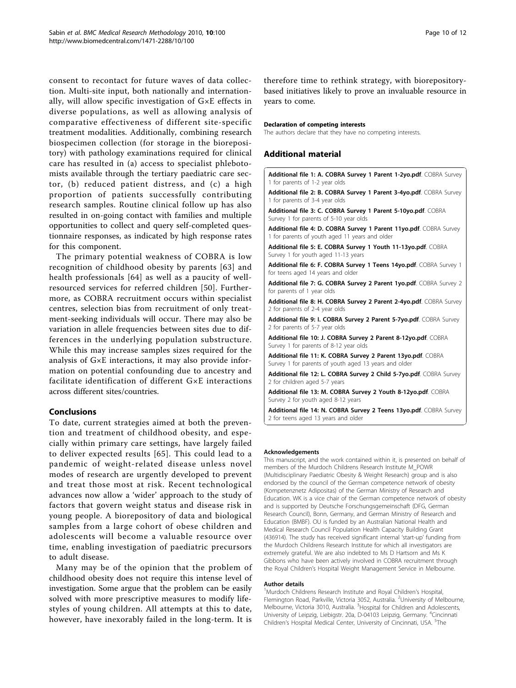<span id="page-9-0"></span>consent to recontact for future waves of data collection. Multi-site input, both nationally and internationally, will allow specific investigation of G×E effects in diverse populations, as well as allowing analysis of comparative effectiveness of different site-specific treatment modalities. Additionally, combining research biospecimen collection (for storage in the biorepository) with pathology examinations required for clinical care has resulted in (a) access to specialist phlebotomists available through the tertiary paediatric care sector, (b) reduced patient distress, and (c) a high proportion of patients successfully contributing research samples. Routine clinical follow up has also resulted in on-going contact with families and multiple opportunities to collect and query self-completed questionnaire responses, as indicated by high response rates for this component.

The primary potential weakness of COBRA is low recognition of childhood obesity by parents [\[63\]](#page-11-0) and health professionals [[64](#page-11-0)] as well as a paucity of wellresourced services for referred children [[50](#page-11-0)]. Furthermore, as COBRA recruitment occurs within specialist centres, selection bias from recruitment of only treatment-seeking individuals will occur. There may also be variation in allele frequencies between sites due to differences in the underlying population substructure. While this may increase samples sizes required for the analysis of G×E interactions, it may also provide information on potential confounding due to ancestry and facilitate identification of different G×E interactions across different sites/countries.

# Conclusions

To date, current strategies aimed at both the prevention and treatment of childhood obesity, and especially within primary care settings, have largely failed to deliver expected results [[65](#page-11-0)]. This could lead to a pandemic of weight-related disease unless novel modes of research are urgently developed to prevent and treat those most at risk. Recent technological advances now allow a 'wider' approach to the study of factors that govern weight status and disease risk in young people. A biorepository of data and biological samples from a large cohort of obese children and adolescents will become a valuable resource over time, enabling investigation of paediatric precursors to adult disease.

Many may be of the opinion that the problem of childhood obesity does not require this intense level of investigation. Some argue that the problem can be easily solved with more prescriptive measures to modify lifestyles of young children. All attempts at this to date, however, have inexorably failed in the long-term. It is

Page 10 of 12

therefore time to rethink strategy, with biorepositorybased initiatives likely to prove an invaluable resource in years to come.

#### Declaration of competing interests

The authors declare that they have no competing interests.

# Additional material

[Additional file 1: A](http://www.biomedcentral.com/content/supplementary/1471-2288-10-100-S1.PDF). COBRA Survey 1 Parent 1-2yo.pdf. COBRA Survey 1 for parents of 1-2 year olds [Additional file 2: B](http://www.biomedcentral.com/content/supplementary/1471-2288-10-100-S2.PDF). COBRA Survey 1 Parent 3-4yo.pdf. COBRA Survey for parents of 3-4 year olds [Additional file 3: C](http://www.biomedcentral.com/content/supplementary/1471-2288-10-100-S3.PDF). COBRA Survey 1 Parent 5-10yo.pdf. COBRA Survey 1 for parents of 5-10 year olds [Additional file 4: D](http://www.biomedcentral.com/content/supplementary/1471-2288-10-100-S4.PDF). COBRA Survey 1 Parent 11yo.pdf. COBRA Survey 1 for parents of youth aged 11 years and older [Additional file 5: E](http://www.biomedcentral.com/content/supplementary/1471-2288-10-100-S5.PDF). COBRA Survey 1 Youth 11-13yo.pdf. COBRA Survey 1 for youth aged 11-13 years [Additional file 6: F](http://www.biomedcentral.com/content/supplementary/1471-2288-10-100-S6.PDF). COBRA Survey 1 Teens 14yo.pdf. COBRA Survey 1 for teens aged 14 years and older [Additional file 7: G](http://www.biomedcentral.com/content/supplementary/1471-2288-10-100-S7.PDF). COBRA Survey 2 Parent 1yo.pdf. COBRA Survey 2 for parents of 1 year olds [Additional file 8: H](http://www.biomedcentral.com/content/supplementary/1471-2288-10-100-S8.PDF). COBRA Survey 2 Parent 2-4yo.pdf. COBRA Survey 2 for parents of 2-4 year olds [Additional file 9: I](http://www.biomedcentral.com/content/supplementary/1471-2288-10-100-S9.PDF). COBRA Survey 2 Parent 5-7yo.pdf. COBRA Survey 2 for parents of 5-7 year olds [Additional file 10: J](http://www.biomedcentral.com/content/supplementary/1471-2288-10-100-S10.PDF). COBRA Survey 2 Parent 8-12yo.pdf. COBRA Survey 1 for parents of 8-12 year olds [Additional file 11: K](http://www.biomedcentral.com/content/supplementary/1471-2288-10-100-S11.PDF). COBRA Survey 2 Parent 13yo.pdf. COBRA Survey 1 for parents of youth aged 13 years and older [Additional file 12: L](http://www.biomedcentral.com/content/supplementary/1471-2288-10-100-S12.PDF). COBRA Survey 2 Child 5-7yo.pdf. COBRA Survey 2 for children aged 5-7 years [Additional file 13: M](http://www.biomedcentral.com/content/supplementary/1471-2288-10-100-S13.PDF). COBRA Survey 2 Youth 8-12yo.pdf. COBRA Survey 2 for youth aged 8-12 years [Additional file 14: N](http://www.biomedcentral.com/content/supplementary/1471-2288-10-100-S14.PDF). COBRA Survey 2 Teens 13yo.pdf. COBRA Survey 2 for teens aged 13 years and older

#### Acknowledgements

This manuscript, and the work contained within it, is presented on behalf of members of the Murdoch Childrens Research Institute M\_POWR (Multidisciplinary Paediatric Obesity & Weight Research) group and is also endorsed by the council of the German competence network of obesity (Kompetenznetz Adipositas) of the German Ministry of Research and Education. WK is a vice chair of the German competence network of obesity and is supported by Deutsche Forschungsgemeinschaft (DFG, German Research Council), Bonn, Germany, and German Ministry of Research and Education (BMBF). OU is funded by an Australian National Health and Medical Research Council Population Health Capacity Building Grant (436914). The study has received significant internal 'start-up' funding from the Murdoch Childrens Research Institute for which all investigators are extremely grateful. We are also indebted to Ms D Hartsorn and Ms K Gibbons who have been actively involved in COBRA recruitment through the Royal Children's Hospital Weight Management Service in Melbourne.

#### Author details

<sup>1</sup>Murdoch Childrens Research Institute and Royal Children's Hospital, Flemington Road, Parkville, Victoria 3052, Australia. <sup>2</sup>University of Melbourne Melbourne, Victoria 3010, Australia. <sup>3</sup>Hospital for Children and Adolescents, University of Leipzig, Liebigstr. 20a, D-04103 Leipzig, Germany. <sup>4</sup>Cincinnati Children's Hospital Medical Center, University of Cincinnati, USA. <sup>5</sup>The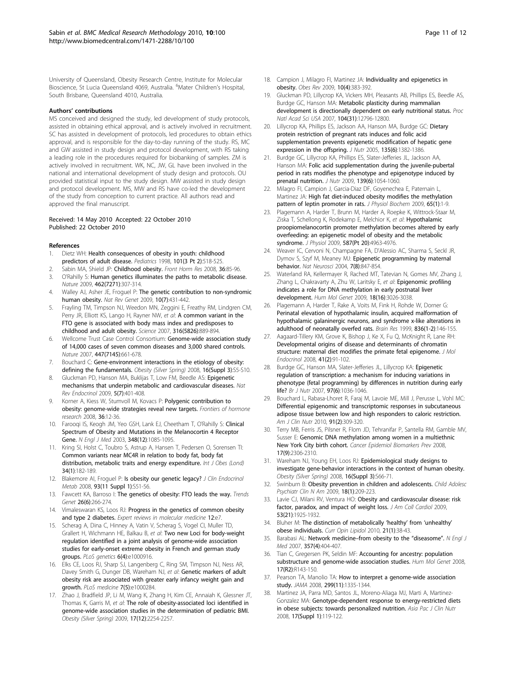<span id="page-10-0"></span>University of Queensland, Obesity Research Centre, Institute for Molecular Bioscience, St Lucia Queensland 4069, Australia. <sup>6</sup>Mater Children's Hospital, South Brisbane, Queensland 4010, Australia.

#### Authors' contributions

MS conceived and designed the study, led development of study protocols, assisted in obtaining ethical approval, and is actively involved in recruitment. SC has assisted in development of protocols, led procedures to obtain ethics approval, and is responsible for the day-to-day running of the study. RS, MC and GW assisted in study design and protocol development, with RS taking a leading role in the procedures required for biobanking of samples. ZM is actively involved in recruitment. WK, NC, JW, GL have been involved in the national and international development of study design and protocols. OU provided statistical input to the study design. MW assisted in study design and protocol development. MS, MW and RS have co-led the development of the study from conception to current practice. All authors read and approved the final manuscript.

#### Received: 14 May 2010 Accepted: 22 October 2010 Published: 22 October 2010

#### References

- 1. Dietz WH: [Health consequences of obesity in youth: childhood](http://www.ncbi.nlm.nih.gov/pubmed/12224658?dopt=Abstract) [predictors of adult disease.](http://www.ncbi.nlm.nih.gov/pubmed/12224658?dopt=Abstract) Pediatrics 1998, 101(3 Pt 2):518-525.
- Sabin MA, Shield JP: [Childhood obesity.](http://www.ncbi.nlm.nih.gov/pubmed/18230896?dopt=Abstract) Front Horm Res 2008, 36:85-96. 3. O'Rahilly S: [Human genetics illuminates the paths to metabolic disease.](http://www.ncbi.nlm.nih.gov/pubmed/19924209?dopt=Abstract) Nature 2009, 462(7271):307-314.
- 4. Walley AJ, Asher JE, Froguel P: [The genetic contribution to non-syndromic](http://www.ncbi.nlm.nih.gov/pubmed/19506576?dopt=Abstract) [human obesity.](http://www.ncbi.nlm.nih.gov/pubmed/19506576?dopt=Abstract) Nat Rev Genet 2009, 10(7):431-442.
- 5. Frayling TM, Timpson NJ, Weedon MN, Zeggini E, Freathy RM, Lindgren CM, Perry JR, Elliott KS, Lango H, Rayner NW, et al: [A common variant in the](http://www.ncbi.nlm.nih.gov/pubmed/17434869?dopt=Abstract) [FTO gene is associated with body mass index and predisposes to](http://www.ncbi.nlm.nih.gov/pubmed/17434869?dopt=Abstract) [childhood and adult obesity.](http://www.ncbi.nlm.nih.gov/pubmed/17434869?dopt=Abstract) Science 2007, 316(5826):889-894.
- 6. Wellcome Trust Case Control Consortium: [Genome-wide association study](http://www.ncbi.nlm.nih.gov/pubmed/17554300?dopt=Abstract) [of 14,000 cases of seven common diseases and 3,000 shared controls.](http://www.ncbi.nlm.nih.gov/pubmed/17554300?dopt=Abstract) Nature 2007, 447(7145):661-678.
- 7. Bouchard C: [Gene-environment interactions in the etiology of obesity:](http://www.ncbi.nlm.nih.gov/pubmed/19037213?dopt=Abstract) [defining the fundamentals.](http://www.ncbi.nlm.nih.gov/pubmed/19037213?dopt=Abstract) Obesity (Silver Spring) 2008, 16(Suppl 3):S5-S10.
- 8. Gluckman PD, Hanson MA, Buklijas T, Low FM, Beedle AS: [Epigenetic](http://www.ncbi.nlm.nih.gov/pubmed/19488075?dopt=Abstract) [mechanisms that underpin metabolic and cardiovascular diseases.](http://www.ncbi.nlm.nih.gov/pubmed/19488075?dopt=Abstract) Nat Rev Endocrinol 2009, 5(7):401-408.
- Korner A, Kiess W, Stumvoll M, Kovacs P: [Polygenic contribution to](http://www.ncbi.nlm.nih.gov/pubmed/18230892?dopt=Abstract) [obesity: genome-wide strategies reveal new targets.](http://www.ncbi.nlm.nih.gov/pubmed/18230892?dopt=Abstract) Frontiers of hormone research 2008, 36:12-36.
- 10. Farooqi IS, Keogh JM, Yeo GSH, Lank EJ, Cheetham T, O'Rahilly S: [Clinical](http://www.ncbi.nlm.nih.gov/pubmed/12646665?dopt=Abstract) [Spectrum of Obesity and Mutations in the Melanocortin 4 Receptor](http://www.ncbi.nlm.nih.gov/pubmed/12646665?dopt=Abstract) [Gene.](http://www.ncbi.nlm.nih.gov/pubmed/12646665?dopt=Abstract) N Engl J Med 2003, 348(12):1085-1095.
- 11. Kring SI, Holst C, Toubro S, Astrup A, Hansen T, Pedersen O, Sorensen TI: [Common variants near MC4R in relation to body fat, body fat](http://www.ncbi.nlm.nih.gov/pubmed/19844209?dopt=Abstract) [distribution, metabolic traits and energy expenditure.](http://www.ncbi.nlm.nih.gov/pubmed/19844209?dopt=Abstract) Int J Obes (Lond) 34(1):182-189.
- 12. Blakemore AI, Froguel P: [Is obesity our genetic legacy?](http://www.ncbi.nlm.nih.gov/pubmed/18987270?dopt=Abstract) J Clin Endocrinol Metab 2008, 93(11 Suppl 1):S51-56.
- 13. Fawcett KA, Barroso I: [The genetics of obesity: FTO leads the way.](http://www.ncbi.nlm.nih.gov/pubmed/20381893?dopt=Abstract) Trends Genet 26(6):266-274.
- 14. Vimaleswaran KS, Loos RJ: [Progress in the genetics of common obesity](http://www.ncbi.nlm.nih.gov/pubmed/20184785?dopt=Abstract) [and type 2 diabetes.](http://www.ncbi.nlm.nih.gov/pubmed/20184785?dopt=Abstract) Expert reviews in molecular medicine 12:e7.
- 15. Scherag A, Dina C, Hinney A, Vatin V, Scherag S, Vogel CI, Muller TD, Grallert H, Wichmann HE, Balkau B, et al: [Two new Loci for body-weight](http://www.ncbi.nlm.nih.gov/pubmed/20421936?dopt=Abstract) [regulation identified in a joint analysis of genome-wide association](http://www.ncbi.nlm.nih.gov/pubmed/20421936?dopt=Abstract) [studies for early-onset extreme obesity in French and german study](http://www.ncbi.nlm.nih.gov/pubmed/20421936?dopt=Abstract) [groups.](http://www.ncbi.nlm.nih.gov/pubmed/20421936?dopt=Abstract) PLoS genetics 6(4):e1000916.
- Elks CE, Loos RJ, Sharp SJ, Langenberg C, Ring SM, Timpson NJ, Ness AR, Davey Smith G, Dunger DB, Wareham NJ, et al: [Genetic markers of adult](http://www.ncbi.nlm.nih.gov/pubmed/20520848?dopt=Abstract) [obesity risk are associated with greater early infancy weight gain and](http://www.ncbi.nlm.nih.gov/pubmed/20520848?dopt=Abstract) [growth.](http://www.ncbi.nlm.nih.gov/pubmed/20520848?dopt=Abstract) PLoS medicine 7(5):e1000284.
- 17. Zhao J, Bradfield JP, Li M, Wang K, Zhang H, Kim CE, Annaiah K, Glessner JT, Thomas K, Garris M, et al: [The role of obesity-associated loci identified in](http://www.ncbi.nlm.nih.gov/pubmed/19478790?dopt=Abstract) [genome-wide association studies in the determination of pediatric BMI.](http://www.ncbi.nlm.nih.gov/pubmed/19478790?dopt=Abstract) Obesity (Silver Spring) 2009, 17(12):2254-2257.
- 18. Campion J, Milagro FI, Martinez JA: [Individuality and epigenetics in](http://www.ncbi.nlm.nih.gov/pubmed/19413700?dopt=Abstract) [obesity.](http://www.ncbi.nlm.nih.gov/pubmed/19413700?dopt=Abstract) Obes Rev 2009, 10(4):383-392.
- 19. Gluckman PD, Lillycrop KA, Vickers MH, Pleasants AB, Phillips ES, Beedle AS, Burdge GC, Hanson MA: [Metabolic plasticity during mammalian](http://www.ncbi.nlm.nih.gov/pubmed/17646663?dopt=Abstract) [development is directionally dependent on early nutritional status.](http://www.ncbi.nlm.nih.gov/pubmed/17646663?dopt=Abstract) Proc Natl Acad Sci USA 2007, 104(31):12796-12800.
- 20. Lillycrop KA, Phillips ES, Jackson AA, Hanson MA, Burdge GC: [Dietary](http://www.ncbi.nlm.nih.gov/pubmed/15930441?dopt=Abstract) [protein restriction of pregnant rats induces and folic acid](http://www.ncbi.nlm.nih.gov/pubmed/15930441?dopt=Abstract) [supplementation prevents epigenetic modification of hepatic gene](http://www.ncbi.nlm.nih.gov/pubmed/15930441?dopt=Abstract) [expression in the offspring.](http://www.ncbi.nlm.nih.gov/pubmed/15930441?dopt=Abstract) J Nutr 2005, 135(6):1382-1386.
- 21. Burdge GC, Lillycrop KA, Phillips ES, Slater-Jefferies JL, Jackson AA, Hanson MA: [Folic acid supplementation during the juvenile-pubertal](http://www.ncbi.nlm.nih.gov/pubmed/19339705?dopt=Abstract) [period in rats modifies the phenotype and epigenotype induced by](http://www.ncbi.nlm.nih.gov/pubmed/19339705?dopt=Abstract) [prenatal nutrition.](http://www.ncbi.nlm.nih.gov/pubmed/19339705?dopt=Abstract) J Nutr 2009, 139(6):1054-1060.
- 22. Milagro FI, Campion J, Garcia-Diaz DF, Goyenechea E, Paternain L, Martinez JA: [High fat diet-induced obesity modifies the methylation](http://www.ncbi.nlm.nih.gov/pubmed/19588726?dopt=Abstract) [pattern of leptin promoter in rats.](http://www.ncbi.nlm.nih.gov/pubmed/19588726?dopt=Abstract) J Physiol Biochem 2009, 65(1):1-9.
- 23. Plagemann A, Harder T, Brunn M, Harder A, Roepke K, Wittrock-Staar M, Ziska T, Schellong K, Rodekamp E, Melchior K, et al: [Hypothalamic](http://www.ncbi.nlm.nih.gov/pubmed/19723777?dopt=Abstract) [proopiomelanocortin promoter methylation becomes altered by early](http://www.ncbi.nlm.nih.gov/pubmed/19723777?dopt=Abstract) [overfeeding: an epigenetic model of obesity and the metabolic](http://www.ncbi.nlm.nih.gov/pubmed/19723777?dopt=Abstract) [syndrome.](http://www.ncbi.nlm.nih.gov/pubmed/19723777?dopt=Abstract) J Physiol 2009, 587(Pt 20):4963-4976.
- 24. Weaver IC, Cervoni N, Champagne FA, D'Alessio AC, Sharma S, Seckl JR, Dymov S, Szyf M, Meaney MJ: [Epigenetic programming by maternal](http://www.ncbi.nlm.nih.gov/pubmed/15220929?dopt=Abstract) [behavior.](http://www.ncbi.nlm.nih.gov/pubmed/15220929?dopt=Abstract) Nat Neurosci 2004, 7(8):847-854.
- 25. Waterland RA, Kellermayer R, Rached MT, Tatevian N, Gomes MV, Zhang J, Zhang L, Chakravarty A, Zhu W, Laritsky E, et al: [Epigenomic profiling](http://www.ncbi.nlm.nih.gov/pubmed/19457928?dopt=Abstract) [indicates a role for DNA methylation in early postnatal liver](http://www.ncbi.nlm.nih.gov/pubmed/19457928?dopt=Abstract) [development.](http://www.ncbi.nlm.nih.gov/pubmed/19457928?dopt=Abstract) Hum Mol Genet 2009, 18(16):3026-3038.
- 26. Plagemann A, Harder T, Rake A, Voits M, Fink H, Rohde W, Dorner G: [Perinatal elevation of hypothalamic insulin, acquired malformation of](http://www.ncbi.nlm.nih.gov/pubmed/10415413?dopt=Abstract) [hypothalamic galaninergic neurons, and syndrome x-like alterations in](http://www.ncbi.nlm.nih.gov/pubmed/10415413?dopt=Abstract) [adulthood of neonatally overfed rats.](http://www.ncbi.nlm.nih.gov/pubmed/10415413?dopt=Abstract) Brain Res 1999, 836(1-2):146-155.
- 27. Aagaard-Tillery KM, Grove K, Bishop J, Ke X, Fu Q, McKnight R, Lane RH: [Developmental origins of disease and determinants of chromatin](http://www.ncbi.nlm.nih.gov/pubmed/18515302?dopt=Abstract) [structure: maternal diet modifies the primate fetal epigenome.](http://www.ncbi.nlm.nih.gov/pubmed/18515302?dopt=Abstract) J Mol Endocrinol 2008, 41(2):91-102.
- 28. Burdge GC, Hanson MA, Slater-Jefferies JL, Lillycrop KA: [Epigenetic](http://www.ncbi.nlm.nih.gov/pubmed/17381976?dopt=Abstract) [regulation of transcription: a mechanism for inducing variations in](http://www.ncbi.nlm.nih.gov/pubmed/17381976?dopt=Abstract) [phenotype \(fetal programming\) by differences in nutrition during early](http://www.ncbi.nlm.nih.gov/pubmed/17381976?dopt=Abstract) [life?](http://www.ncbi.nlm.nih.gov/pubmed/17381976?dopt=Abstract) Br J Nutr 2007, 97(6):1036-1046.
- Bouchard L, Rabasa-Lhoret R, Faraj M, Lavoie ME, Mill J, Perusse L, Vohl MC: [Differential epigenomic and transcriptomic responses in subcutaneous](http://www.ncbi.nlm.nih.gov/pubmed/19939982?dopt=Abstract) [adipose tissue between low and high responders to caloric restriction.](http://www.ncbi.nlm.nih.gov/pubmed/19939982?dopt=Abstract) Am J Clin Nutr 2010, 91(2):309-320.
- 30. Terry MB, Ferris JS, Pilsner R, Flom JD, Tehranifar P, Santella RM, Gamble MV, Susser E: [Genomic DNA methylation among women in a multiethnic](http://www.ncbi.nlm.nih.gov/pubmed/18768498?dopt=Abstract) [New York City birth cohort.](http://www.ncbi.nlm.nih.gov/pubmed/18768498?dopt=Abstract) Cancer Epidemiol Biomarkers Prev 2008, 17(9):2306-2310.
- 31. Wareham NJ, Young EH, Loos RJ: [Epidemiological study designs to](http://www.ncbi.nlm.nih.gov/pubmed/19037217?dopt=Abstract) [investigate gene-behavior interactions in the context of human obesity.](http://www.ncbi.nlm.nih.gov/pubmed/19037217?dopt=Abstract) Obesity (Silver Spring) 2008, 16(Suppl 3):S66-71.
- Swinburn B: [Obesity prevention in children and adolescents.](http://www.ncbi.nlm.nih.gov/pubmed/19014868?dopt=Abstract) Child Adolesc Psychiatr Clin N Am 2009, 18(1):209-223.
- 33. Lavie CJ, Milani RV, Ventura HO: [Obesity and cardiovascular disease: risk](http://www.ncbi.nlm.nih.gov/pubmed/19460605?dopt=Abstract) [factor, paradox, and impact of weight loss.](http://www.ncbi.nlm.nih.gov/pubmed/19460605?dopt=Abstract) J Am Coll Cardiol 2009, 53(21):1925-1932.
- 34. Bluher M: [The distinction of metabolically](http://www.ncbi.nlm.nih.gov/pubmed/19915462?dopt=Abstract) 'healthy' from 'unhealthy' [obese individuals.](http://www.ncbi.nlm.nih.gov/pubmed/19915462?dopt=Abstract) Curr Opin Lipidol 2010, 21(1):38-43.
- 35. Barabasi AL: Network medicine–[from obesity to the](http://www.ncbi.nlm.nih.gov/pubmed/17652657?dopt=Abstract) "diseasome". N Engl J Med 2007, 357(4):404-407.
- 36. Tian C, Gregersen PK, Seldin MF: [Accounting for ancestry: population](http://www.ncbi.nlm.nih.gov/pubmed/18852203?dopt=Abstract) [substructure and genome-wide association studies.](http://www.ncbi.nlm.nih.gov/pubmed/18852203?dopt=Abstract) Hum Mol Genet 2008, 17(R2):R143-150.
- 37. Pearson TA, Manolio TA: [How to interpret a genome-wide association](http://www.ncbi.nlm.nih.gov/pubmed/18349094?dopt=Abstract) [study.](http://www.ncbi.nlm.nih.gov/pubmed/18349094?dopt=Abstract) JAMA 2008, 299(11):1335-1344.
- 38. Martinez JA, Parra MD, Santos JL, Moreno-Aliaga MJ, Marti A, Martinez-Gonzalez MA: [Genotype-dependent response to energy-restricted diets](http://www.ncbi.nlm.nih.gov/pubmed/18296317?dopt=Abstract) [in obese subjects: towards personalized nutrition.](http://www.ncbi.nlm.nih.gov/pubmed/18296317?dopt=Abstract) Asia Pac J Clin Nutr 2008, 17(Suppl 1):119-122.